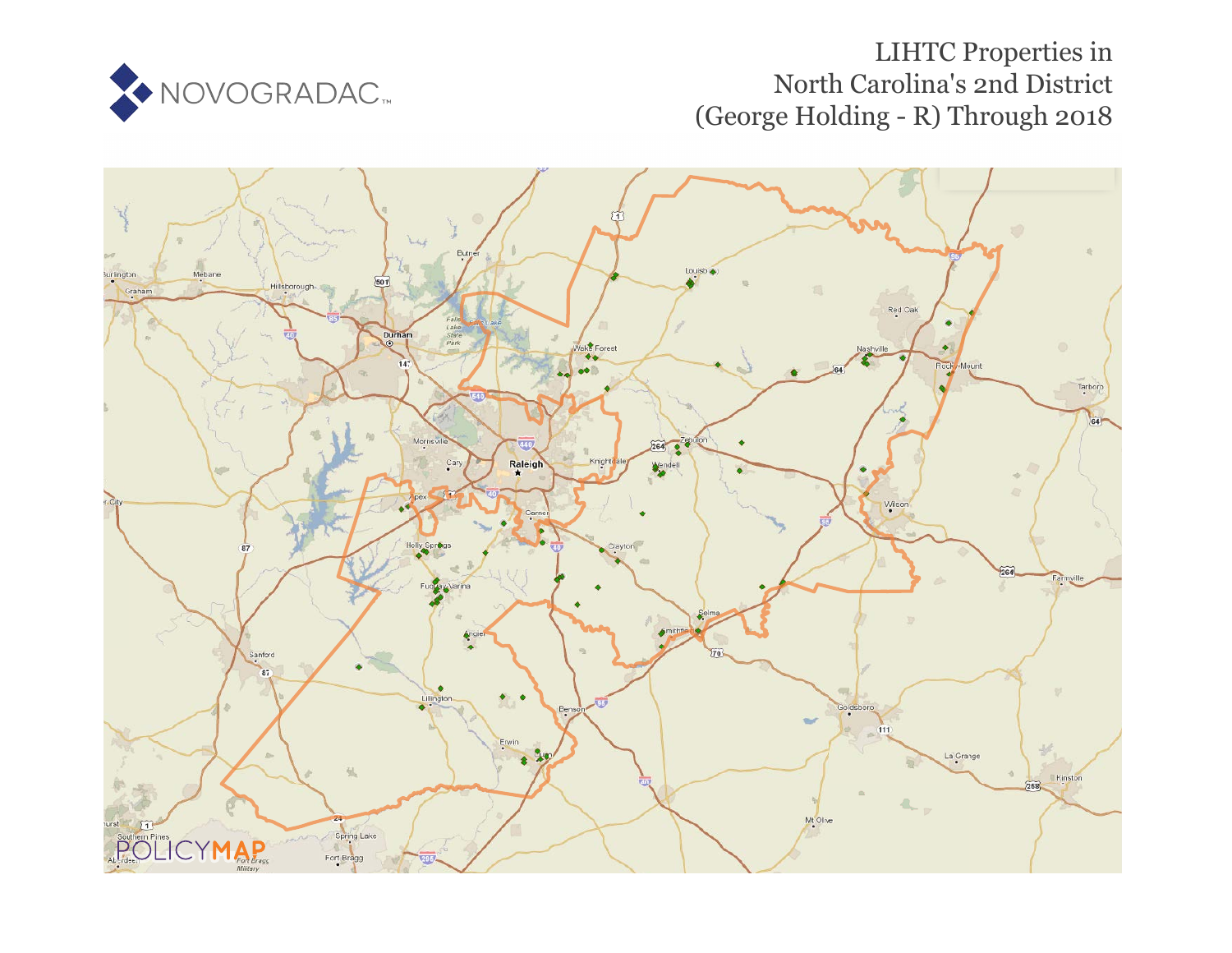

# LIHTC Properties in North Carolina's 2nd [D](https://www.policymap.com/our-data-directory.html#HUD%20LIHTC)istrict (George Holding - R) Through 2018

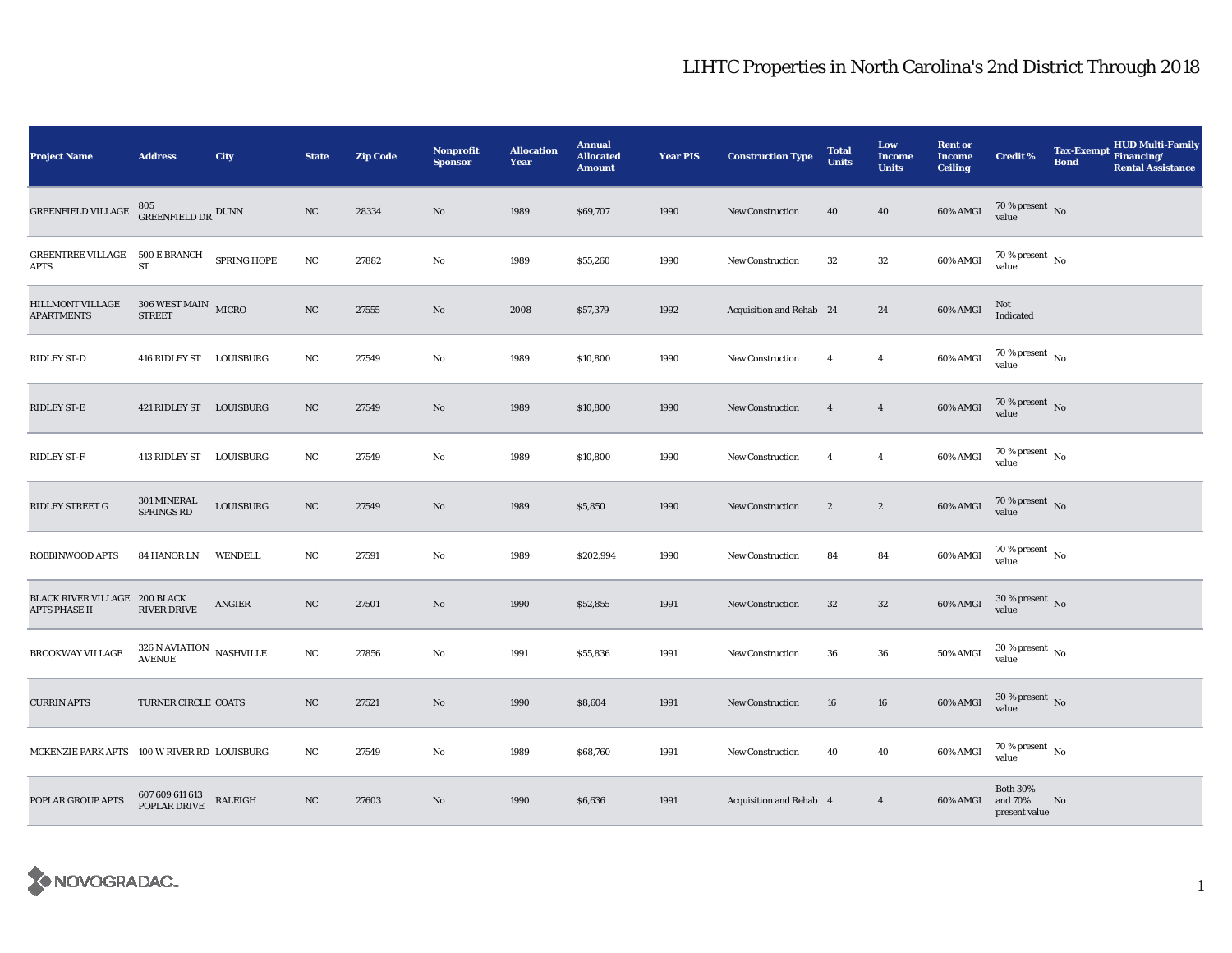| <b>Project Name</b>                                   | <b>Address</b>                                   | City               | <b>State</b> | <b>Zip Code</b> | Nonprofit<br>Sponsor | <b>Allocation</b><br>Year | <b>Annual</b><br><b>Allocated</b><br><b>Amount</b> | <b>Year PIS</b> | <b>Construction Type</b> | <b>Total</b><br><b>Units</b> | Low<br><b>Income</b><br><b>Units</b> | <b>Rent or</b><br><b>Income</b><br><b>Ceiling</b> | <b>Credit %</b>                             | <b>Tax-Exempt</b><br><b>Bond</b> | HUD Multi-Family<br>Financing/<br><b>Rental Assistance</b> |
|-------------------------------------------------------|--------------------------------------------------|--------------------|--------------|-----------------|----------------------|---------------------------|----------------------------------------------------|-----------------|--------------------------|------------------------------|--------------------------------------|---------------------------------------------------|---------------------------------------------|----------------------------------|------------------------------------------------------------|
| GREENFIELD VILLAGE                                    | $805$ GREENFIELD DR $^{\rm DUNN}$                |                    | NC           | 28334           | No                   | 1989                      | \$69,707                                           | 1990            | New Construction         | 40                           | 40                                   | 60% AMGI                                          | 70 % present $\hbox{~No}$<br>value          |                                  |                                                            |
| GREENTREE VILLAGE 500 E BRANCH<br>APTS                | ${\rm ST}$                                       | <b>SPRING HOPE</b> | $_{\rm NC}$  | 27882           | $\mathbf{No}$        | 1989                      | \$55,260                                           | 1990            | <b>New Construction</b>  | 32                           | 32                                   | 60% AMGI                                          | $70\,\%$ present $\,$ No value              |                                  |                                                            |
| <b>HILLMONT VILLAGE</b><br><b>APARTMENTS</b>          | $306$ WEST MAIN $_{\rm ~MICRO}$<br><b>STREET</b> |                    | NC           | 27555           | $\mathbf{No}$        | 2008                      | \$57,379                                           | 1992            | Acquisition and Rehab 24 |                              | 24                                   | 60% AMGI                                          | Not<br>Indicated                            |                                  |                                                            |
| RIDLEY ST-D                                           | 416 RIDLEY ST LOUISBURG                          |                    | $_{\rm NC}$  | 27549           | $\mathbf{No}$        | 1989                      | \$10,800                                           | 1990            | <b>New Construction</b>  | $\overline{4}$               | $\overline{4}$                       | 60% AMGI                                          | $70$ % present $\,$ No value                |                                  |                                                            |
| RIDLEY ST-E                                           | 421 RIDLEY ST LOUISBURG                          |                    | NC           | 27549           | No                   | 1989                      | \$10,800                                           | 1990            | <b>New Construction</b>  | $\overline{4}$               | $\overline{4}$                       | 60% AMGI                                          | $70$ % present $$\rm{No}$$ value            |                                  |                                                            |
| RIDLEY ST-F                                           | 413 RIDLEY ST LOUISBURG                          |                    | NC           | 27549           | No                   | 1989                      | \$10,800                                           | 1990            | <b>New Construction</b>  | $\overline{4}$               | $\overline{4}$                       | 60% AMGI                                          | $70\%$ present No<br>value                  |                                  |                                                            |
| RIDLEY STREET G                                       | 301 MINERAL<br>SPRINGS RD                        | LOUISBURG          | NC           | 27549           | No                   | 1989                      | \$5,850                                            | 1990            | <b>New Construction</b>  | $\boldsymbol{2}$             | $\boldsymbol{2}$                     | 60% AMGI                                          | $70$ % present $\,$ No value                |                                  |                                                            |
| ROBBINWOOD APTS                                       | 84 HANOR LN                                      | WENDELL            | NC           | 27591           | No                   | 1989                      | \$202,994                                          | 1990            | <b>New Construction</b>  | 84                           | 84                                   | 60% AMGI                                          | 70 % present $\,$ No $\,$<br>value          |                                  |                                                            |
| BLACK RIVER VILLAGE 200 BLACK<br><b>APTS PHASE II</b> | RIVER DRIVE                                      | <b>ANGIER</b>      | NC           | 27501           | No                   | 1990                      | \$52,855                                           | 1991            | New Construction         | $32\,$                       | $32\,$                               | 60% AMGI                                          | $30$ % present $\,$ No value                |                                  |                                                            |
| <b>BROOKWAY VILLAGE</b>                               | $326$ N AVIATION $\,$ NASHVILLE<br><b>AVENUE</b> |                    | NC           | 27856           | No                   | 1991                      | \$55,836                                           | 1991            | <b>New Construction</b>  | 36                           | 36                                   | 50% AMGI                                          | $30$ % present $\,$ No $\,$<br>value        |                                  |                                                            |
| <b>CURRIN APTS</b>                                    | TURNER CIRCLE COATS                              |                    | NC           | 27521           | No                   | 1990                      | \$8,604                                            | 1991            | <b>New Construction</b>  | 16                           | 16                                   | 60% AMGI                                          | $30$ % present $_{\rm{No}}$                 |                                  |                                                            |
| MCKENZIE PARK APTS 100 W RIVER RD LOUISBURG           |                                                  |                    | NC           | 27549           | No                   | 1989                      | \$68,760                                           | 1991            | <b>New Construction</b>  | 40                           | 40                                   | 60% AMGI                                          | 70 % present $\hbox{~No}$<br>value          |                                  |                                                            |
| POPLAR GROUP APTS                                     | 607 609 611 613<br>POPLAR DRIVE                  | RALEIGH            | NC           | 27603           | No                   | 1990                      | \$6,636                                            | 1991            | Acquisition and Rehab 4  |                              | $\overline{4}$                       | 60% AMGI                                          | <b>Both 30%</b><br>and 70%<br>present value | No                               |                                                            |

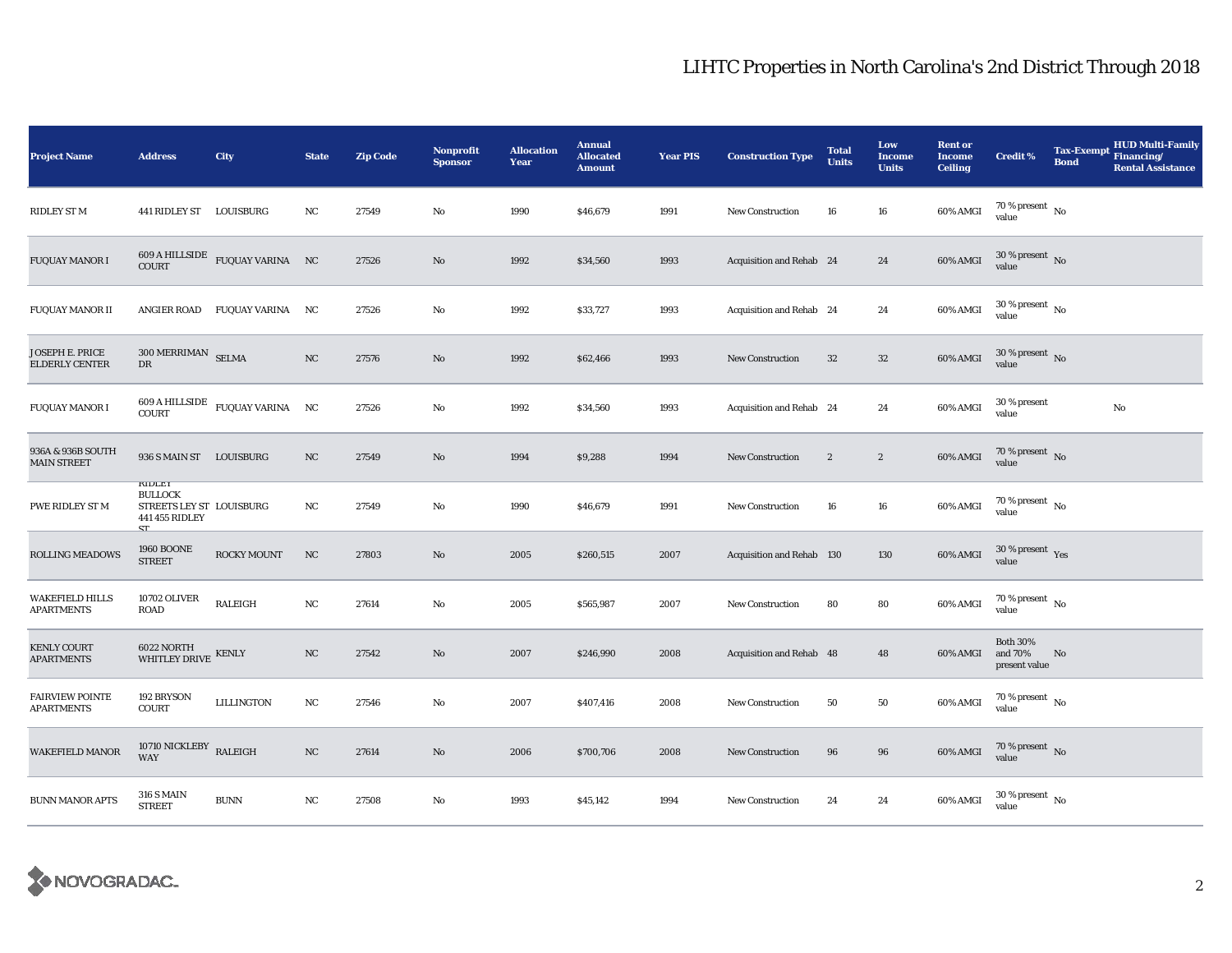| <b>Project Name</b>                         | <b>Address</b>                                                               | City                                                              | <b>State</b>     | <b>Zip Code</b> | <b>Nonprofit</b><br><b>Sponsor</b> | <b>Allocation</b><br>Year | <b>Annual</b><br><b>Allocated</b><br><b>Amount</b> | <b>Year PIS</b> | <b>Construction Type</b>  | <b>Total</b><br><b>Units</b> | Low<br><b>Income</b><br><b>Units</b> | <b>Rent or</b><br><b>Income</b><br><b>Ceiling</b> | <b>Credit %</b>                             | <b>Tax-Exempt</b><br><b>Bond</b> | <b>HUD Multi-Family</b><br>Financing/<br><b>Rental Assistance</b> |
|---------------------------------------------|------------------------------------------------------------------------------|-------------------------------------------------------------------|------------------|-----------------|------------------------------------|---------------------------|----------------------------------------------------|-----------------|---------------------------|------------------------------|--------------------------------------|---------------------------------------------------|---------------------------------------------|----------------------------------|-------------------------------------------------------------------|
| <b>RIDLEY ST M</b>                          | 441 RIDLEY ST LOUISBURG                                                      |                                                                   | NC               | 27549           | No                                 | 1990                      | \$46,679                                           | 1991            | <b>New Construction</b>   | 16                           | 16                                   | 60% AMGI                                          | 70 % present $\hbox{~No}$<br>value          |                                  |                                                                   |
| <b>FUQUAY MANOR I</b>                       |                                                                              | $609$ A HILLSIDE $_{\rm FUQUAY\,VARINA}$ NC COURT                 |                  | 27526           | $\mathbf{No}$                      | 1992                      | \$34,560                                           | 1993            | Acquisition and Rehab 24  |                              | 24                                   | 60% AMGI                                          | $30\,\%$ present $\,$ No $\,$<br>value      |                                  |                                                                   |
| <b>FUQUAY MANOR II</b>                      |                                                                              | ANGIER ROAD FUQUAY VARINA NC                                      |                  | 27526           | $\mathbf{No}$                      | 1992                      | \$33,727                                           | 1993            | Acquisition and Rehab 24  |                              | 24                                   | 60% AMGI                                          | $30\,\%$ present $\,$ No value              |                                  |                                                                   |
| JOSEPH E. PRICE<br><b>ELDERLY CENTER</b>    | $300\,\mathrm{MERRIMAN}$ SELMA<br>${\rm DR}$                                 |                                                                   | $_{\rm NC}$      | 27576           | $\mathbf{No}$                      | 1992                      | \$62,466                                           | 1993            | New Construction          | $32\,$                       | $32\,$                               | 60% AMGI                                          | $30\,\%$ present $\,$ No $\,$<br>value      |                                  |                                                                   |
| <b>FUQUAY MANOR I</b>                       | <b>COURT</b>                                                                 | $609\text{ A HILLSIDE}\quad \text{FUQUAY VARINA}\qquad \text{NC}$ |                  | 27526           | $\rm No$                           | 1992                      | \$34,560                                           | 1993            | Acquisition and Rehab 24  |                              | 24                                   | 60% AMGI                                          | 30 % present<br>value                       |                                  | $\rm No$                                                          |
| 936A & 936B SOUTH<br><b>MAIN STREET</b>     | 936 S MAIN ST LOUISBURG                                                      |                                                                   | NC               | 27549           | $\mathbf{No}$                      | 1994                      | \$9,288                                            | 1994            | New Construction          | $\boldsymbol{2}$             | $\boldsymbol{2}$                     | 60% AMGI                                          | $70\,\%$ present $\,$ No value              |                                  |                                                                   |
| PWE RIDLEY ST M                             | KIDLET<br><b>BULLOCK</b><br>STREETS LEY ST LOUISBURG<br>441 455 RIDLEY<br>CT |                                                                   | NC               | 27549           | $\mathbf{No}$                      | 1990                      | \$46,679                                           | 1991            | New Construction          | 16                           | 16                                   | 60% AMGI                                          | $70$ % present $_{\rm{No}}$                 |                                  |                                                                   |
| ROLLING MEADOWS                             | <b>1960 BOONE</b><br><b>STREET</b>                                           | <b>ROCKY MOUNT</b>                                                | NC               | 27803           | No                                 | 2005                      | \$260,515                                          | 2007            | Acquisition and Rehab 130 |                              | 130                                  | 60% AMGI                                          | $30\,\%$ present $\,$ Yes value             |                                  |                                                                   |
| <b>WAKEFIELD HILLS</b><br><b>APARTMENTS</b> | <b>10702 OLIVER</b><br><b>ROAD</b>                                           | <b>RALEIGH</b>                                                    | $_{\rm NC}$      | 27614           | $\mathbf{No}$                      | 2005                      | \$565,987                                          | 2007            | New Construction          | 80                           | 80                                   | 60% AMGI                                          | $70$ % present $\,$ $_{\rm No}$<br>value    |                                  |                                                                   |
| <b>KENLY COURT</b><br><b>APARTMENTS</b>     | 6022 NORTH $$\tt WHITLEY~DRIVE$ KENLY                                        |                                                                   | $_{\mathrm{NC}}$ | 27542           | No                                 | 2007                      | \$246,990                                          | 2008            | Acquisition and Rehab 48  |                              | 48                                   | 60% AMGI                                          | <b>Both 30%</b><br>and 70%<br>present value | No                               |                                                                   |
| <b>FAIRVIEW POINTE</b><br><b>APARTMENTS</b> | 192 BRYSON<br><b>COURT</b>                                                   | LILLINGTON                                                        | NC               | 27546           | No                                 | 2007                      | \$407,416                                          | 2008            | New Construction          | 50                           | 50                                   | 60% AMGI                                          | 70 % present $\hbox{~No}$<br>value          |                                  |                                                                   |
| <b>WAKEFIELD MANOR</b>                      | 10710 NICKLEBY RALEIGH<br><b>WAY</b>                                         |                                                                   | $_{\rm NC}$      | 27614           | No                                 | 2006                      | \$700,706                                          | 2008            | New Construction          | 96                           | 96                                   | 60% AMGI                                          | $70\,\%$ present $\,$ No value              |                                  |                                                                   |
| <b>BUNN MANOR APTS</b>                      | <b>316 S MAIN</b><br><b>STREET</b>                                           | $\rm BUNN$                                                        | NC               | 27508           | No                                 | 1993                      | \$45,142                                           | 1994            | New Construction          | 24                           | 24                                   | 60% AMGI                                          | $30\,\%$ present $\,$ No $\,$<br>value      |                                  |                                                                   |

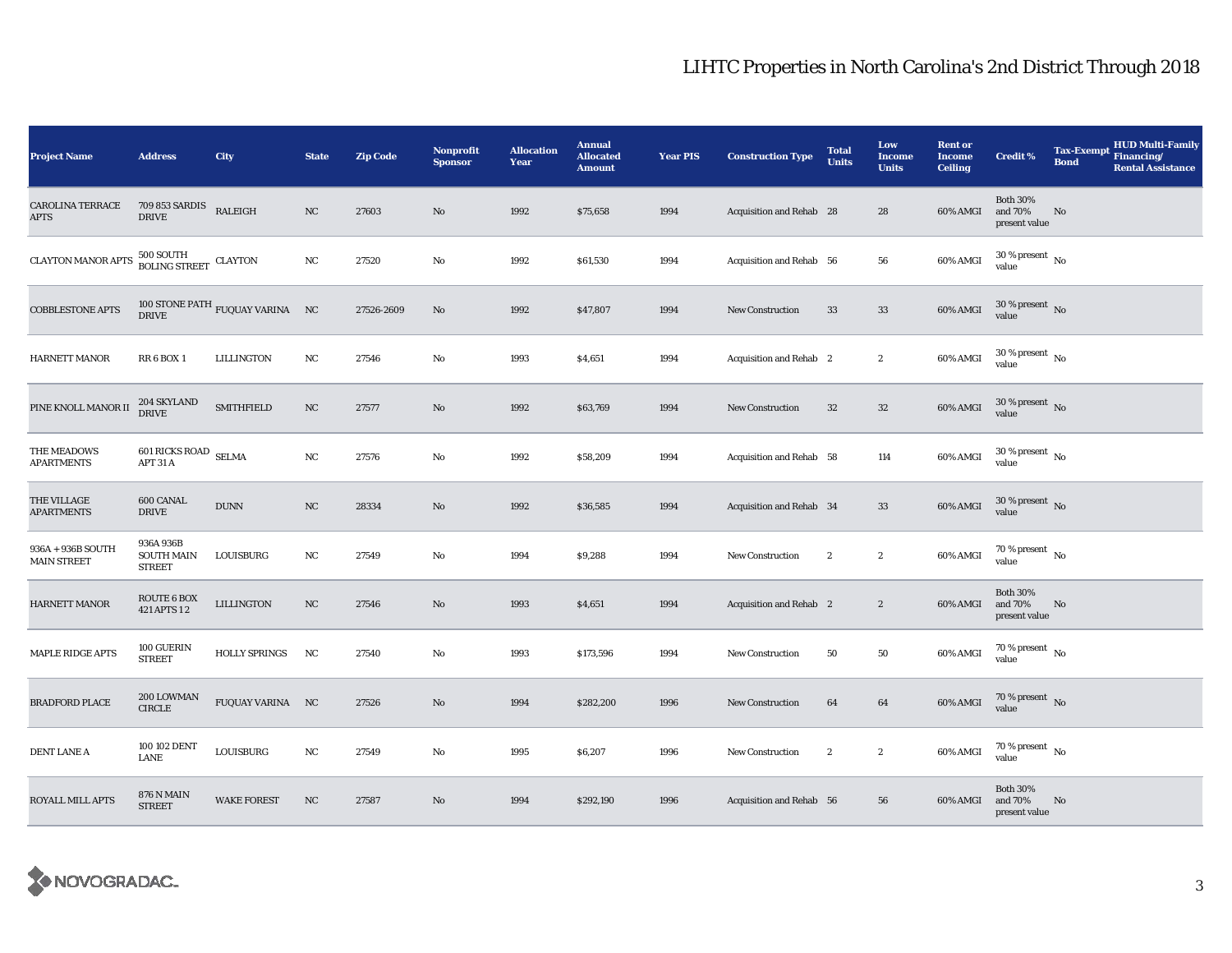| <b>Project Name</b>                     | <b>Address</b>                                  | <b>City</b>                                          | <b>State</b> | <b>Zip Code</b> | <b>Nonprofit</b><br><b>Sponsor</b> | <b>Allocation</b><br>Year | <b>Annual</b><br><b>Allocated</b><br><b>Amount</b> | <b>Year PIS</b> | <b>Construction Type</b>       | <b>Total</b><br><b>Units</b> | Low<br><b>Income</b><br><b>Units</b> | <b>Rent or</b><br><b>Income</b><br><b>Ceiling</b> | <b>Credit %</b>                             | <b>Tax-Exempt</b><br><b>Bond</b> | <b>HUD Multi-Family</b><br>Financing/<br><b>Rental Assistance</b> |
|-----------------------------------------|-------------------------------------------------|------------------------------------------------------|--------------|-----------------|------------------------------------|---------------------------|----------------------------------------------------|-----------------|--------------------------------|------------------------------|--------------------------------------|---------------------------------------------------|---------------------------------------------|----------------------------------|-------------------------------------------------------------------|
| <b>CAROLINA TERRACE</b><br><b>APTS</b>  | 709 853 SARDIS<br><b>DRIVE</b>                  | <b>RALEIGH</b>                                       | NC           | 27603           | $\mathbf{N}\mathbf{o}$             | 1992                      | \$75,658                                           | 1994            | Acquisition and Rehab 28       |                              | 28                                   | 60% AMGI                                          | <b>Both 30%</b><br>and 70%<br>present value | No                               |                                                                   |
| <b>CLAYTON MANOR APTS</b>               | $500$ SOUTH BOLING STREET CLAYTON               |                                                      | NC           | 27520           | No                                 | 1992                      | \$61,530                                           | 1994            | Acquisition and Rehab 56       |                              | 56                                   | 60% AMGI                                          | $30\,\%$ present $\,$ No $\,$<br>value      |                                  |                                                                   |
| <b>COBBLESTONE APTS</b>                 |                                                 | 100 STONE PATH $_{\rm FUQUAY}$ VARINA $_{\rm \,N C}$ |              | 27526-2609      | $\mathbf{N}\mathbf{o}$             | 1992                      | \$47,807                                           | 1994            | New Construction               | 33                           | $33\,$                               | 60% AMGI                                          | $30$ % present $\,$ No $\,$<br>value        |                                  |                                                                   |
| <b>HARNETT MANOR</b>                    | <b>RR 6 BOX 1</b>                               | LILLINGTON                                           | NC           | 27546           | No                                 | 1993                      | \$4,651                                            | 1994            | <b>Acquisition and Rehab</b> 2 |                              | $\boldsymbol{2}$                     | 60% AMGI                                          | $30$ % present $\,$ No $\,$<br>value        |                                  |                                                                   |
| PINE KNOLL MANOR II                     | 204 SKYLAND<br><b>DRIVE</b>                     | <b>SMITHFIELD</b>                                    | NC           | 27577           | $\mathbf{N}\mathbf{o}$             | 1992                      | \$63,769                                           | 1994            | <b>New Construction</b>        | 32                           | ${\bf 32}$                           | 60% AMGI                                          | $30$ % present $\,$ No $\,$<br>value        |                                  |                                                                   |
| THE MEADOWS<br><b>APARTMENTS</b>        | 601 RICKS ROAD SELMA<br>APT 31 A                |                                                      | $_{\rm NC}$  | 27576           | $\mathbf{No}$                      | 1992                      | \$58,209                                           | 1994            | Acquisition and Rehab 58       |                              | 114                                  | 60% AMGI                                          | $30$ % present $\,$ No $\,$<br>value        |                                  |                                                                   |
| THE VILLAGE<br><b>APARTMENTS</b>        | 600 CANAL<br><b>DRIVE</b>                       | <b>DUNN</b>                                          | NC           | 28334           | No                                 | 1992                      | \$36,585                                           | 1994            | Acquisition and Rehab 34       |                              | 33                                   | 60% AMGI                                          | $30$ % present $\,$ No value                |                                  |                                                                   |
| 936A + 936B SOUTH<br><b>MAIN STREET</b> | 936A 936B<br><b>SOUTH MAIN</b><br><b>STREET</b> | LOUISBURG                                            | NC           | 27549           | No                                 | 1994                      | \$9,288                                            | 1994            | <b>New Construction</b>        | $\boldsymbol{2}$             | $\boldsymbol{2}$                     | 60% AMGI                                          | 70 % present $\,$ No $\,$<br>value          |                                  |                                                                   |
| HARNETT MANOR                           | ROUTE 6 BOX<br>421 APTS 12                      | <b>LILLINGTON</b>                                    | NC           | 27546           | No                                 | 1993                      | \$4,651                                            | 1994            | Acquisition and Rehab 2        |                              | $\boldsymbol{2}$                     | 60% AMGI                                          | <b>Both 30%</b><br>and 70%<br>present value | N <sub>o</sub>                   |                                                                   |
| MAPLE RIDGE APTS                        | 100 GUERIN<br><b>STREET</b>                     | <b>HOLLY SPRINGS</b>                                 | NC           | 27540           | No                                 | 1993                      | \$173,596                                          | 1994            | New Construction               | 50                           | 50                                   | 60% AMGI                                          | $70$ % present $\,$ No $\,$<br>value        |                                  |                                                                   |
| <b>BRADFORD PLACE</b>                   | 200 LOWMAN<br><b>CIRCLE</b>                     | FUQUAY VARINA NC                                     |              | 27526           | No                                 | 1994                      | \$282,200                                          | 1996            | New Construction               | 64                           | 64                                   | 60% AMGI                                          | $70\,\%$ present $\,$ No value              |                                  |                                                                   |
| <b>DENT LANE A</b>                      | 100 102 DENT<br><b>LANE</b>                     | LOUISBURG                                            | NC           | 27549           | No                                 | 1995                      | \$6,207                                            | 1996            | New Construction               | $\boldsymbol{2}$             | $\boldsymbol{2}$                     | 60% AMGI                                          | $70$ % present $\,$ No $\,$<br>value        |                                  |                                                                   |
| ROYALL MILL APTS                        | <b>876 N MAIN</b><br><b>STREET</b>              | <b>WAKE FOREST</b>                                   | NC           | 27587           | $\mathbf{No}$                      | 1994                      | \$292,190                                          | 1996            | Acquisition and Rehab 56       |                              | 56                                   | 60% AMGI                                          | <b>Both 30%</b><br>and 70%<br>present value | No                               |                                                                   |

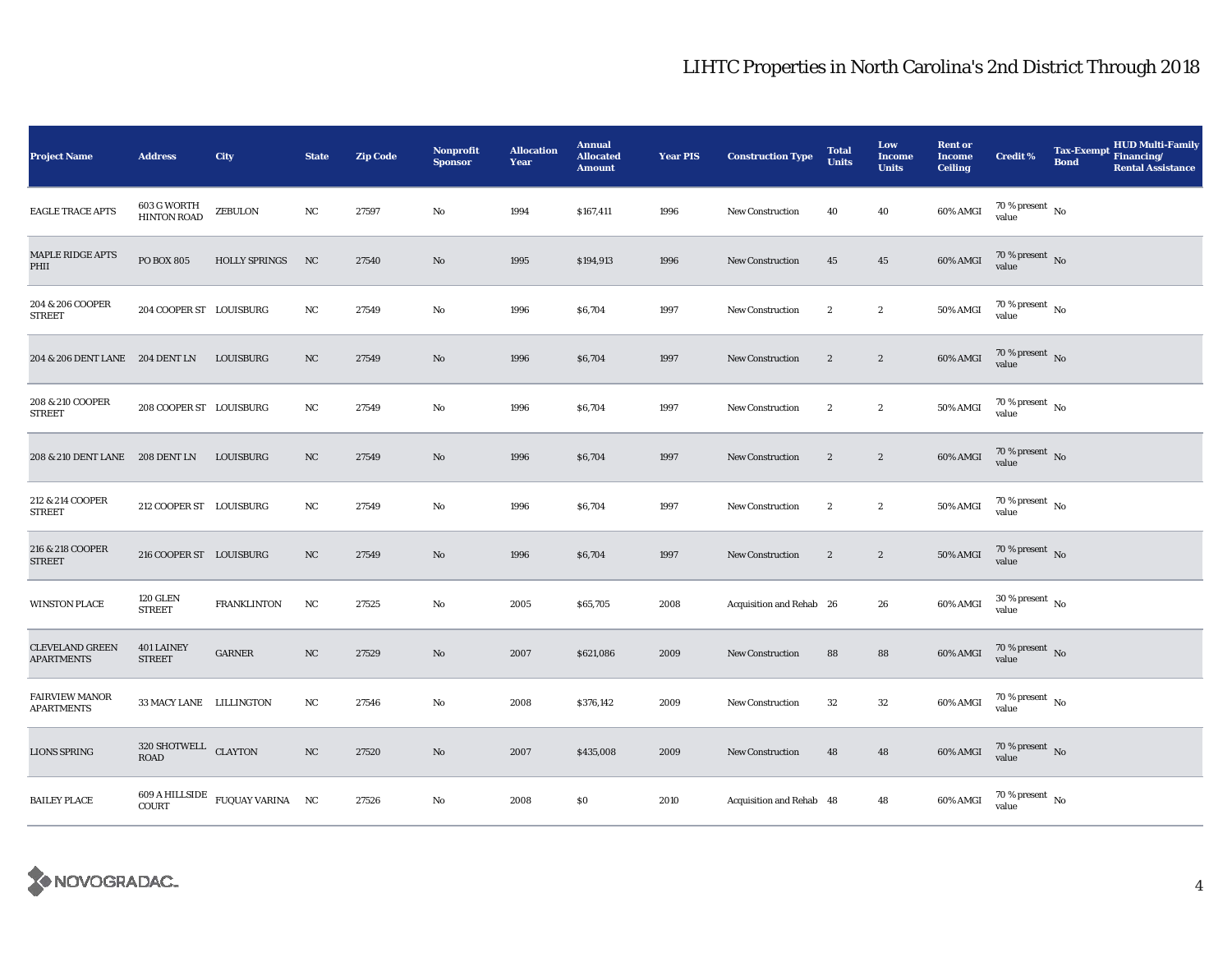| <b>Project Name</b>                         | <b>Address</b>                     | City                                         | <b>State</b>     | <b>Zip Code</b> | <b>Nonprofit</b><br><b>Sponsor</b> | <b>Allocation</b><br>Year | <b>Annual</b><br><b>Allocated</b><br><b>Amount</b> | <b>Year PIS</b> | <b>Construction Type</b> | <b>Total</b><br>Units | Low<br><b>Income</b><br><b>Units</b> | <b>Rent or</b><br><b>Income</b><br><b>Ceiling</b> | <b>Credit %</b>                        | <b>Tax-Exempt</b><br><b>Bond</b> | <b>HUD Multi-Family</b><br>Financing/<br><b>Rental Assistance</b> |
|---------------------------------------------|------------------------------------|----------------------------------------------|------------------|-----------------|------------------------------------|---------------------------|----------------------------------------------------|-----------------|--------------------------|-----------------------|--------------------------------------|---------------------------------------------------|----------------------------------------|----------------------------------|-------------------------------------------------------------------|
| <b>EAGLE TRACE APTS</b>                     | 603 G WORTH<br><b>HINTON ROAD</b>  | ZEBULON                                      | NC               | 27597           | No                                 | 1994                      | \$167,411                                          | 1996            | New Construction         | 40                    | 40                                   | 60% AMGI                                          | 70 % present $\hbox{~No}$<br>value     |                                  |                                                                   |
| <b>MAPLE RIDGE APTS</b><br>PHII             | <b>PO BOX 805</b>                  | <b>HOLLY SPRINGS</b>                         | NC               | 27540           | No                                 | 1995                      | \$194,913                                          | 1996            | <b>New Construction</b>  | 45                    | 45                                   | 60% AMGI                                          | 70 % present No<br>value               |                                  |                                                                   |
| 204 & 206 COOPER<br><b>STREET</b>           | 204 COOPER ST LOUISBURG            |                                              | NC               | 27549           | No                                 | 1996                      | \$6,704                                            | 1997            | <b>New Construction</b>  | $\boldsymbol{2}$      | $\boldsymbol{2}$                     | <b>50% AMGI</b>                                   | $70$ % present $\,$ No value           |                                  |                                                                   |
| 204 & 206 DENT LANE 204 DENT LN             |                                    | LOUISBURG                                    | NC               | 27549           | No                                 | 1996                      | \$6,704                                            | 1997            | New Construction         | $\boldsymbol{2}$      | $\sqrt{2}$                           | 60% AMGI                                          | 70 % present $\hbox{~No}$<br>value     |                                  |                                                                   |
| 208 & 210 COOPER<br><b>STREET</b>           | 208 COOPER ST LOUISBURG            |                                              | NC               | 27549           | No                                 | 1996                      | \$6,704                                            | 1997            | <b>New Construction</b>  | $\boldsymbol{2}$      | $\boldsymbol{2}$                     | 50% AMGI                                          | $70\,\%$ present $\,$ No value         |                                  |                                                                   |
| 208 & 210 DENT LANE 208 DENT LN LOUISBURG   |                                    |                                              | NC               | 27549           | No                                 | 1996                      | \$6,704                                            | 1997            | New Construction         | $\boldsymbol{2}$      | $\boldsymbol{2}$                     | 60% AMGI                                          | $70$ % present $$\rm{No}$$ value       |                                  |                                                                   |
| 212 & 214 COOPER<br><b>STREET</b>           | 212 COOPER ST LOUISBURG            |                                              | NC               | 27549           | $\mathbf{No}$                      | 1996                      | \$6,704                                            | 1997            | <b>New Construction</b>  | $\sqrt{2}$            | $\boldsymbol{2}$                     | <b>50% AMGI</b>                                   | 70 % present $\hbox{~No}$<br>value     |                                  |                                                                   |
| 216 & 218 COOPER<br><b>STREET</b>           | 216 COOPER ST LOUISBURG            |                                              | $_{\mathrm{NC}}$ | 27549           | No                                 | 1996                      | \$6,704                                            | 1997            | <b>New Construction</b>  | $\boldsymbol{2}$      | $\boldsymbol{2}$                     | <b>50% AMGI</b>                                   | $70$ % present $_{\rm{No}}$            |                                  |                                                                   |
| <b>WINSTON PLACE</b>                        | <b>120 GLEN</b><br><b>STREET</b>   | <b>FRANKLINTON</b>                           | NC               | 27525           | No                                 | 2005                      | \$65,705                                           | 2008            | Acquisition and Rehab 26 |                       | 26                                   | 60% AMGI                                          | $30\,\%$ present $\,$ No $\,$<br>value |                                  |                                                                   |
| <b>CLEVELAND GREEN</b><br><b>APARTMENTS</b> | <b>401 LAINEY</b><br><b>STREET</b> | <b>GARNER</b>                                | NC               | 27529           | No                                 | 2007                      | \$621,086                                          | 2009            | <b>New Construction</b>  | 88                    | 88                                   | 60% AMGI                                          | $70$ % present $$\rm{No}$$ value       |                                  |                                                                   |
| <b>FAIRVIEW MANOR</b><br><b>APARTMENTS</b>  | 33 MACY LANE LILLINGTON            |                                              | NC               | 27546           | No                                 | 2008                      | \$376,142                                          | 2009            | <b>New Construction</b>  | $32\,$                | ${\bf 32}$                           | 60% AMGI                                          | 70 % present $\hbox{~No}$<br>value     |                                  |                                                                   |
| <b>LIONS SPRING</b>                         | $320\,$ SHOTWELL $\,$ CLAYTON ROAD |                                              | NC               | 27520           | No                                 | 2007                      | \$435,008                                          | 2009            | <b>New Construction</b>  | 48                    | 48                                   | 60% AMGI                                          | $70$ % present $_{\rm{No}}$            |                                  |                                                                   |
| <b>BAILEY PLACE</b>                         | COURT                              | $609$ A HILLSIDE $_{\rm FUQUAY}$ VARINA – NC |                  | 27526           | No                                 | 2008                      | \$0                                                | 2010            | Acquisition and Rehab 48 |                       | 48                                   | 60% AMGI                                          | $70\,\%$ present $\,$ No value         |                                  |                                                                   |

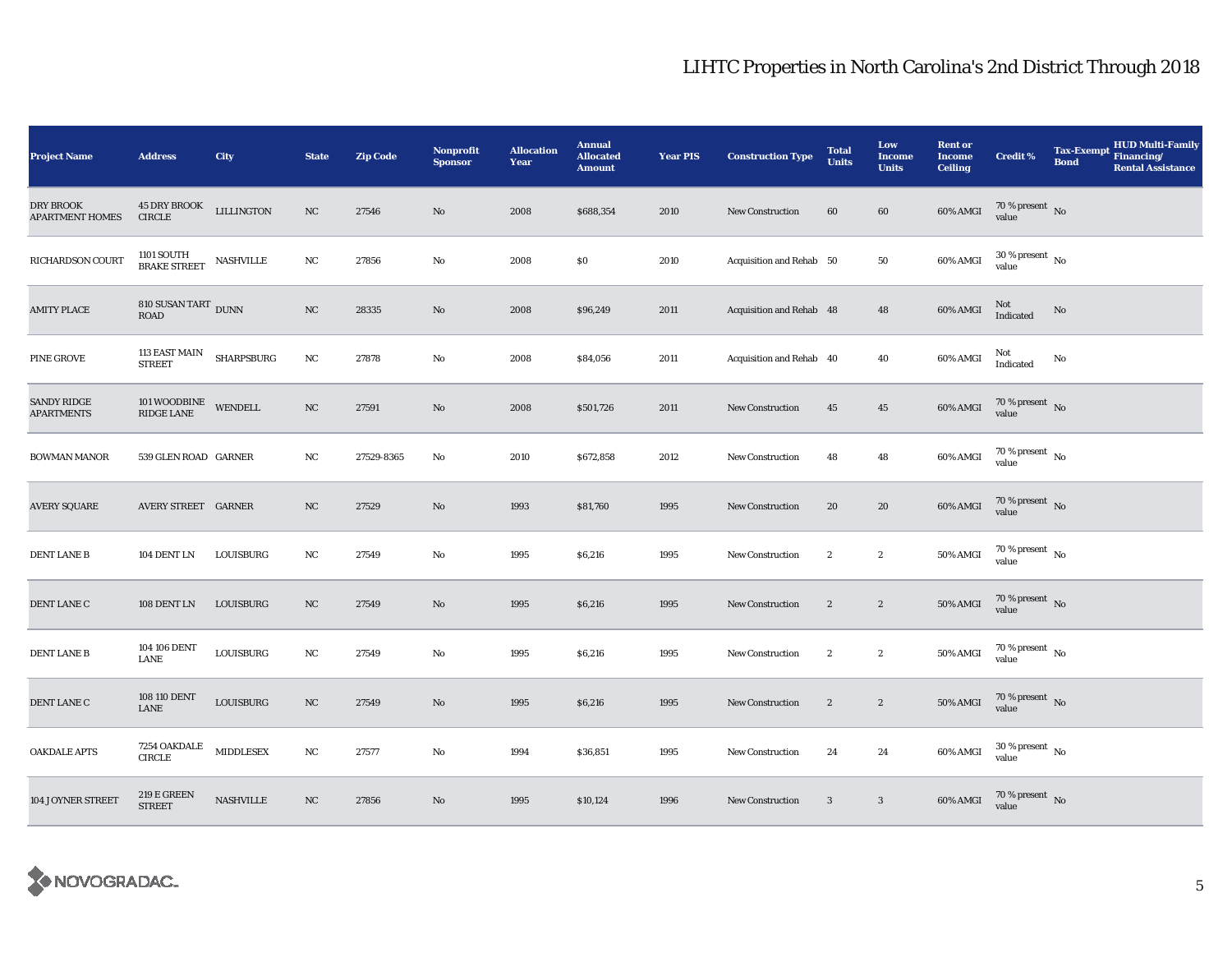| <b>Project Name</b>                        | <b>Address</b>                            | City              | <b>State</b> | <b>Zip Code</b> | Nonprofit<br><b>Sponsor</b> | <b>Allocation</b><br>Year | <b>Annual</b><br><b>Allocated</b><br><b>Amount</b> | <b>Year PIS</b> | <b>Construction Type</b> | <b>Total</b><br><b>Units</b> | Low<br><b>Income</b><br><b>Units</b> | <b>Rent or</b><br><b>Income</b><br><b>Ceiling</b> | <b>Credit %</b>                        | <b>Tax-Exempt</b><br><b>Bond</b> | <b>HUD Multi-Family</b><br>Financing/<br><b>Rental Assistance</b> |
|--------------------------------------------|-------------------------------------------|-------------------|--------------|-----------------|-----------------------------|---------------------------|----------------------------------------------------|-----------------|--------------------------|------------------------------|--------------------------------------|---------------------------------------------------|----------------------------------------|----------------------------------|-------------------------------------------------------------------|
| <b>DRY BROOK</b><br><b>APARTMENT HOMES</b> | <b>45 DRY BROOK</b><br><b>CIRCLE</b>      | <b>LILLINGTON</b> | $_{\rm NC}$  | 27546           | No                          | 2008                      | \$688,354                                          | 2010            | New Construction         | 60                           | 60                                   | 60% AMGI                                          | $70$ % present $$\rm{No}$$ value       |                                  |                                                                   |
| RICHARDSON COURT                           | $1101$ SOUTH $$\tt{NASHVILLE}\xspace$     |                   | $_{\rm NC}$  | 27856           | No                          | 2008                      | \$0                                                | 2010            | Acquisition and Rehab 50 |                              | 50                                   | 60% AMGI                                          | $30\,\%$ present $\,$ No $\,$<br>value |                                  |                                                                   |
| <b>AMITY PLACE</b>                         | 810 SUSAN TART DUNN<br><b>ROAD</b>        |                   | NC           | 28335           | No                          | 2008                      | \$96,249                                           | 2011            | Acquisition and Rehab 48 |                              | 48                                   | 60% AMGI                                          | $\rm Not$ Indicated                    | No                               |                                                                   |
| <b>PINE GROVE</b>                          | 113 EAST MAIN<br><b>STREET</b>            | <b>SHARPSBURG</b> | NC           | 27878           | No                          | 2008                      | \$84,056                                           | 2011            | Acquisition and Rehab 40 |                              | 40                                   | 60% AMGI                                          | Not<br>Indicated                       | No                               |                                                                   |
| <b>SANDY RIDGE</b><br><b>APARTMENTS</b>    | $101$ WOODBINE WENDELL RIDGE LANE         |                   | NC           | 27591           | No                          | 2008                      | \$501,726                                          | 2011            | New Construction         | 45                           | $45\,$                               | 60% AMGI                                          | $70\,\%$ present $\,$ No value         |                                  |                                                                   |
| <b>BOWMAN MANOR</b>                        | 539 GLEN ROAD GARNER                      |                   | NC           | 27529-8365      | No                          | 2010                      | \$672,858                                          | 2012            | <b>New Construction</b>  | 48                           | 48                                   | 60% AMGI                                          | $70$ % present $\,$ No $\,$<br>value   |                                  |                                                                   |
| <b>AVERY SQUARE</b>                        | AVERY STREET GARNER                       |                   | NC           | 27529           | No                          | 1993                      | \$81,760                                           | 1995            | <b>New Construction</b>  | 20                           | 20                                   | 60% AMGI                                          | $70\,\%$ present $\,$ No value         |                                  |                                                                   |
| <b>DENT LANE B</b>                         | 104 DENT LN                               | LOUISBURG         | $_{\rm NC}$  | 27549           | No                          | 1995                      | \$6,216                                            | 1995            | <b>New Construction</b>  | $\boldsymbol{2}$             | $\boldsymbol{2}$                     | 50% AMGI                                          | $70\,\%$ present $\,$ No value         |                                  |                                                                   |
| DENT LANE C                                | 108 DENT LN                               | LOUISBURG         | NC           | 27549           | No                          | 1995                      | \$6,216                                            | 1995            | New Construction         | $\boldsymbol{2}$             | $\boldsymbol{2}$                     | <b>50% AMGI</b>                                   | $70\,\%$ present $\,$ No value         |                                  |                                                                   |
| <b>DENT LANE B</b>                         | 104 106 DENT<br>LANE                      | LOUISBURG         | NC           | 27549           | No                          | 1995                      | \$6,216                                            | 1995            | <b>New Construction</b>  | $\boldsymbol{2}$             | $\boldsymbol{2}$                     | <b>50% AMGI</b>                                   | 70 % present $\hbox{~No}$<br>value     |                                  |                                                                   |
| DENT LANE C                                | 108 110 DENT<br>LANE                      | LOUISBURG         | NC           | 27549           | No                          | 1995                      | \$6,216                                            | 1995            | New Construction         | $\boldsymbol{2}$             | $\boldsymbol{2}$                     | <b>50% AMGI</b>                                   | $70\,\%$ present $\,$ No value         |                                  |                                                                   |
| <b>OAKDALE APTS</b>                        | 7254 OAKDALE<br><b>CIRCLE</b>             | <b>MIDDLESEX</b>  | NC           | 27577           | No                          | 1994                      | \$36,851                                           | 1995            | <b>New Construction</b>  | 24                           | 24                                   | 60% AMGI                                          | $30$ % present $\,$ No value           |                                  |                                                                   |
| 104 JOYNER STREET                          | $219 \to \mathrm{GREEN}$<br><b>STREET</b> | NASHVILLE         | NC           | 27856           | No                          | 1995                      | \$10,124                                           | 1996            | <b>New Construction</b>  | $\mathbf{3}$                 | $\mathbf{3}$                         | 60% AMGI                                          | $70\,\%$ present $\,$ No value         |                                  |                                                                   |

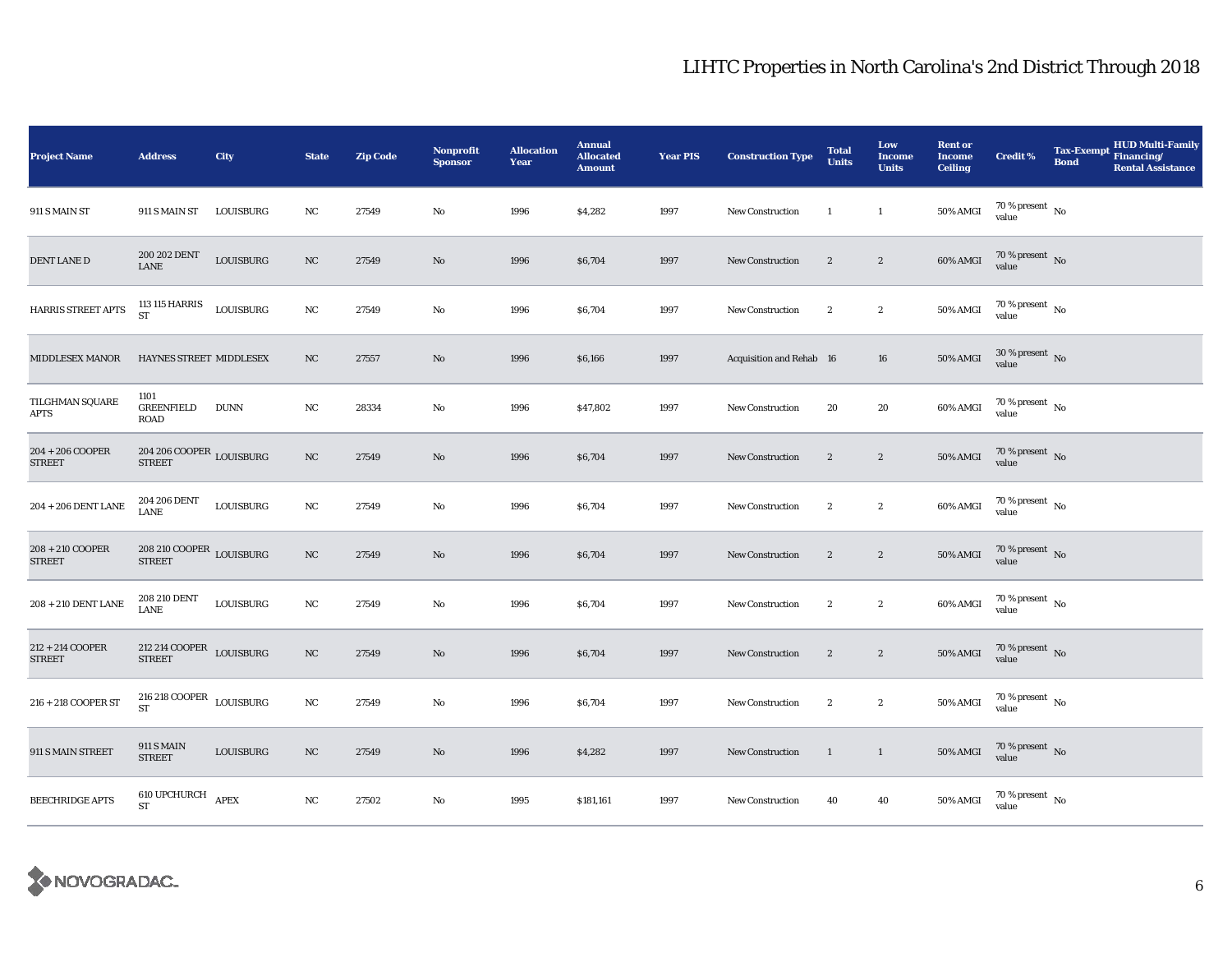| <b>Project Name</b>                 | <b>Address</b>                                        | City                   | <b>State</b>     | <b>Zip Code</b> | <b>Nonprofit</b><br><b>Sponsor</b> | <b>Allocation</b><br>Year | <b>Annual</b><br><b>Allocated</b><br><b>Amount</b> | <b>Year PIS</b> | <b>Construction Type</b> | <b>Total</b><br><b>Units</b> | Low<br><b>Income</b><br><b>Units</b> | <b>Rent or</b><br><b>Income</b><br><b>Ceiling</b> | <b>Credit %</b>                    | <b>Tax-Exempt</b><br><b>Bond</b> | <b>HUD Multi-Family</b><br>Financing/<br><b>Rental Assistance</b> |
|-------------------------------------|-------------------------------------------------------|------------------------|------------------|-----------------|------------------------------------|---------------------------|----------------------------------------------------|-----------------|--------------------------|------------------------------|--------------------------------------|---------------------------------------------------|------------------------------------|----------------------------------|-------------------------------------------------------------------|
| 911 S MAIN ST                       | 911 S MAIN ST                                         | LOUISBURG              | NC               | 27549           | No                                 | 1996                      | \$4,282                                            | 1997            | <b>New Construction</b>  | $\mathbf{1}$                 | $\mathbf{1}$                         | 50% AMGI                                          | 70 % present $\hbox{~No}$<br>value |                                  |                                                                   |
| DENT LANE D                         | 200 202 DENT<br>LANE                                  | LOUISBURG              | NC               | 27549           | No                                 | 1996                      | \$6,704                                            | 1997            | New Construction         | $\boldsymbol{2}$             | $\boldsymbol{2}$                     | 60% AMGI                                          | $70\%$ present No<br>value         |                                  |                                                                   |
| HARRIS STREET APTS                  | 113 115 HARRIS<br>ST                                  | LOUISBURG              | NC               | 27549           | No                                 | 1996                      | \$6,704                                            | 1997            | <b>New Construction</b>  | $\boldsymbol{2}$             | $\boldsymbol{2}$                     | 50% AMGI                                          | $70$ % present $_{\rm{No}}$        |                                  |                                                                   |
| <b>MIDDLESEX MANOR</b>              | HAYNES STREET MIDDLESEX                               |                        | NC               | 27557           | No                                 | 1996                      | \$6,166                                            | 1997            | Acquisition and Rehab 16 |                              | 16                                   | <b>50% AMGI</b>                                   | $30\,\%$ present $\,$ No value     |                                  |                                                                   |
| TILGHMAN SQUARE<br>APTS             | 1101<br><b>GREENFIELD</b><br><b>ROAD</b>              | <b>DUNN</b>            | NC               | 28334           | No                                 | 1996                      | \$47,802                                           | 1997            | New Construction         | 20                           | 20                                   | 60% AMGI                                          | $70$ % present $\,$ No value       |                                  |                                                                   |
| $204 + 206$ COOPER<br><b>STREET</b> | $204\,206\, \mbox{COOPER}$ LOUISBURG<br><b>STREET</b> |                        | $_{\mathrm{NC}}$ | 27549           | $\mathbf{No}$                      | 1996                      | \$6,704                                            | 1997            | New Construction         | $\boldsymbol{2}$             | $\boldsymbol{2}$                     | <b>50% AMGI</b>                                   | $70$ % present $_{\rm{No}}$        |                                  |                                                                   |
| $204$ + $206$ DENT LANE             | 204 206 DENT<br>LANE                                  | $\mbox{\bf LOUISBURG}$ | NC               | 27549           | $\mathbf{No}$                      | 1996                      | \$6,704                                            | 1997            | New Construction         | $\boldsymbol{2}$             | $\boldsymbol{2}$                     | 60% AMGI                                          | $70$ % present $_{\rm{No}}$        |                                  |                                                                   |
| 208 + 210 COOPER<br><b>STREET</b>   | $208\,210\, \text{COOPER}$ LOUISBURG<br><b>STREET</b> |                        | $_{\mathrm{NC}}$ | 27549           | No                                 | 1996                      | \$6,704                                            | 1997            | <b>New Construction</b>  | $\boldsymbol{2}$             | $\sqrt{2}$                           | <b>50% AMGI</b>                                   | $70\,\%$ present $\,$ No value     |                                  |                                                                   |
| $208 + 210$ DENT LANE               | 208 210 DENT<br>LANE                                  | LOUISBURG              | NC               | 27549           | $\mathbf{No}$                      | 1996                      | \$6,704                                            | 1997            | New Construction         | $\boldsymbol{2}$             | $\boldsymbol{2}$                     | 60% AMGI                                          | $70$ % present $\,$ No value       |                                  |                                                                   |
| 212 + 214 COOPER<br><b>STREET</b>   | $212\ 214\ \text{COOPER}$ LOUISBURG<br><b>STREET</b>  |                        | NC               | 27549           | No                                 | 1996                      | \$6,704                                            | 1997            | New Construction         | $\boldsymbol{2}$             | $\boldsymbol{2}$                     | <b>50% AMGI</b>                                   | $70$ % present $_{\rm{No}}$        |                                  |                                                                   |
| 216 + 218 COOPER ST                 | $216\ 218$ COOPER $\,$ LOUISBURG<br><b>ST</b>         |                        | NC               | 27549           | No                                 | 1996                      | \$6,704                                            | 1997            | <b>New Construction</b>  | $\boldsymbol{2}$             | $\boldsymbol{2}$                     | <b>50% AMGI</b>                                   | $70\,\%$ present $\,$ No value     |                                  |                                                                   |
| 911 S MAIN STREET                   | <b>911 S MAIN</b><br><b>STREET</b>                    | LOUISBURG              | $_{\rm NC}$      | 27549           | No                                 | 1996                      | \$4,282                                            | 1997            | New Construction         | <sup>1</sup>                 | $\mathbf{1}$                         | <b>50% AMGI</b>                                   | $70$ % present $_{\rm{No}}$        |                                  |                                                                   |
| <b>BEECHRIDGE APTS</b>              | 610 UPCHURCH APEX<br>ST                               |                        | NC               | 27502           | No                                 | 1995                      | \$181,161                                          | 1997            | <b>New Construction</b>  | 40                           | 40                                   | 50% AMGI                                          | $70$ % present $_{\rm{No}}$        |                                  |                                                                   |

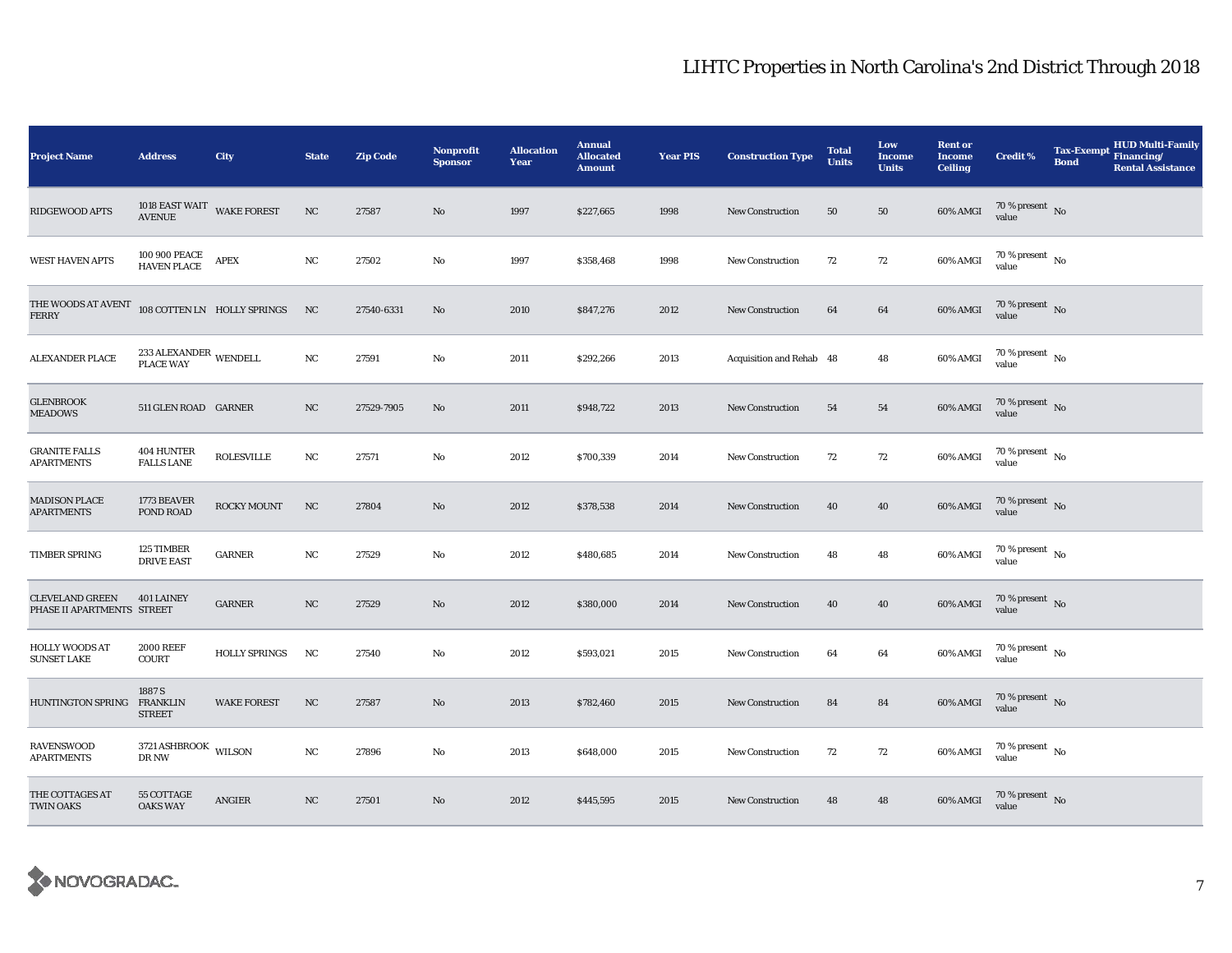| <b>Project Name</b>                                  | <b>Address</b>                              | City                        | <b>State</b> | <b>Zip Code</b> | <b>Nonprofit</b><br><b>Sponsor</b> | <b>Allocation</b><br>Year | <b>Annual</b><br><b>Allocated</b><br><b>Amount</b> | <b>Year PIS</b> | <b>Construction Type</b> | <b>Total</b><br><b>Units</b> | Low<br><b>Income</b><br><b>Units</b> | <b>Rent or</b><br><b>Income</b><br><b>Ceiling</b> | <b>Credit %</b>                      | <b>Tax-Exempt</b><br><b>Bond</b> | <b>HUD Multi-Family</b><br>Financing/<br><b>Rental Assistance</b> |
|------------------------------------------------------|---------------------------------------------|-----------------------------|--------------|-----------------|------------------------------------|---------------------------|----------------------------------------------------|-----------------|--------------------------|------------------------------|--------------------------------------|---------------------------------------------------|--------------------------------------|----------------------------------|-------------------------------------------------------------------|
| RIDGEWOOD APTS                                       | 1018 EAST WAIT WAKE FOREST<br><b>AVENUE</b> |                             | NC           | 27587           | $\mathbf{No}$                      | 1997                      | \$227,665                                          | 1998            | <b>New Construction</b>  | 50                           | 50                                   | 60% AMGI                                          | 70 % present $\,$ No $\,$<br>value   |                                  |                                                                   |
| <b>WEST HAVEN APTS</b>                               | 100 900 PEACE<br><b>HAVEN PLACE</b>         | <b>APEX</b>                 | $_{\rm NC}$  | 27502           | $\mathbf{No}$                      | 1997                      | \$358,468                                          | 1998            | New Construction         | 72                           | 72                                   | 60% AMGI                                          | 70 % present $\,$ No $\,$<br>value   |                                  |                                                                   |
| THE WOODS AT AVENT<br><b>FERRY</b>                   |                                             | 108 COTTEN LN HOLLY SPRINGS | NC           | 27540-6331      | No                                 | 2010                      | \$847,276                                          | 2012            | <b>New Construction</b>  | 64                           | 64                                   | 60% AMGI                                          | $70$ % present $_{\rm{No}}$          |                                  |                                                                   |
| <b>ALEXANDER PLACE</b>                               | $233\, \rm{ALEXANDER}$ WENDELL PLACE WAY    |                             | $_{\rm NC}$  | 27591           | No                                 | 2011                      | \$292,266                                          | 2013            | Acquisition and Rehab 48 |                              | 48                                   | 60% AMGI                                          | 70 % present $\hbox{~No}$<br>value   |                                  |                                                                   |
| <b>GLENBROOK</b><br><b>MEADOWS</b>                   | 511 GLEN ROAD GARNER                        |                             | NC           | 27529-7905      | No                                 | 2011                      | \$948,722                                          | 2013            | <b>New Construction</b>  | 54                           | 54                                   | 60% AMGI                                          | $70$ % present $\,$ No $\,$<br>value |                                  |                                                                   |
| <b>GRANITE FALLS</b><br><b>APARTMENTS</b>            | 404 HUNTER<br><b>FALLS LANE</b>             | <b>ROLESVILLE</b>           | NC           | 27571           | No                                 | 2012                      | \$700,339                                          | 2014            | <b>New Construction</b>  | 72                           | 72                                   | 60% AMGI                                          | $70$ % present $\,$ No $\,$<br>value |                                  |                                                                   |
| <b>MADISON PLACE</b><br><b>APARTMENTS</b>            | 1773 BEAVER<br>POND ROAD                    | <b>ROCKY MOUNT</b>          | NC           | 27804           | No                                 | 2012                      | \$378,538                                          | 2014            | <b>New Construction</b>  | 40                           | 40                                   | 60% AMGI                                          | 70 % present $\,$ No $\,$<br>value   |                                  |                                                                   |
| TIMBER SPRING                                        | 125 TIMBER<br><b>DRIVE EAST</b>             | <b>GARNER</b>               | NC           | 27529           | No                                 | 2012                      | \$480,685                                          | 2014            | <b>New Construction</b>  | 48                           | 48                                   | 60% AMGI                                          | 70 % present $\hbox{~No}$<br>value   |                                  |                                                                   |
| <b>CLEVELAND GREEN</b><br>PHASE II APARTMENTS STREET | 401 LAINEY                                  | ${\tt GARMER}$              | $_{\rm NC}$  | 27529           | No                                 | 2012                      | \$380,000                                          | 2014            | <b>New Construction</b>  | 40                           | 40                                   | 60% AMGI                                          | $70\,\%$ present $\,$ No value       |                                  |                                                                   |
| HOLLY WOODS AT<br><b>SUNSET LAKE</b>                 | <b>2000 REEF</b><br><b>COURT</b>            | <b>HOLLY SPRINGS</b>        | NC           | 27540           | No                                 | 2012                      | \$593,021                                          | 2015            | <b>New Construction</b>  | 64                           | 64                                   | 60% AMGI                                          | $70$ % present $\,$ No $\,$<br>value |                                  |                                                                   |
| HUNTINGTON SPRING                                    | 1887 S<br><b>FRANKLIN</b><br><b>STREET</b>  | <b>WAKE FOREST</b>          | NC           | 27587           | No                                 | 2013                      | \$782,460                                          | 2015            | <b>New Construction</b>  | 84                           | 84                                   | 60% AMGI                                          | $70\,\%$ present $\,$ No value       |                                  |                                                                   |
| <b>RAVENSWOOD</b><br><b>APARTMENTS</b>               | $3721\,\mathrm{ASHBROOK}$ WILSON<br>DR NW   |                             | $_{\rm NC}$  | 27896           | No                                 | 2013                      | \$648,000                                          | 2015            | <b>New Construction</b>  | 72                           | 72                                   | 60% AMGI                                          | $70\,\%$ present $\,$ No value       |                                  |                                                                   |
| THE COTTAGES AT<br><b>TWIN OAKS</b>                  | 55 COTTAGE<br><b>OAKS WAY</b>               | ANGIER                      | NC           | 27501           | No                                 | 2012                      | \$445,595                                          | 2015            | New Construction         | 48                           | 48                                   | 60% AMGI                                          | 70 % present $\hbox{~No}$<br>value   |                                  |                                                                   |

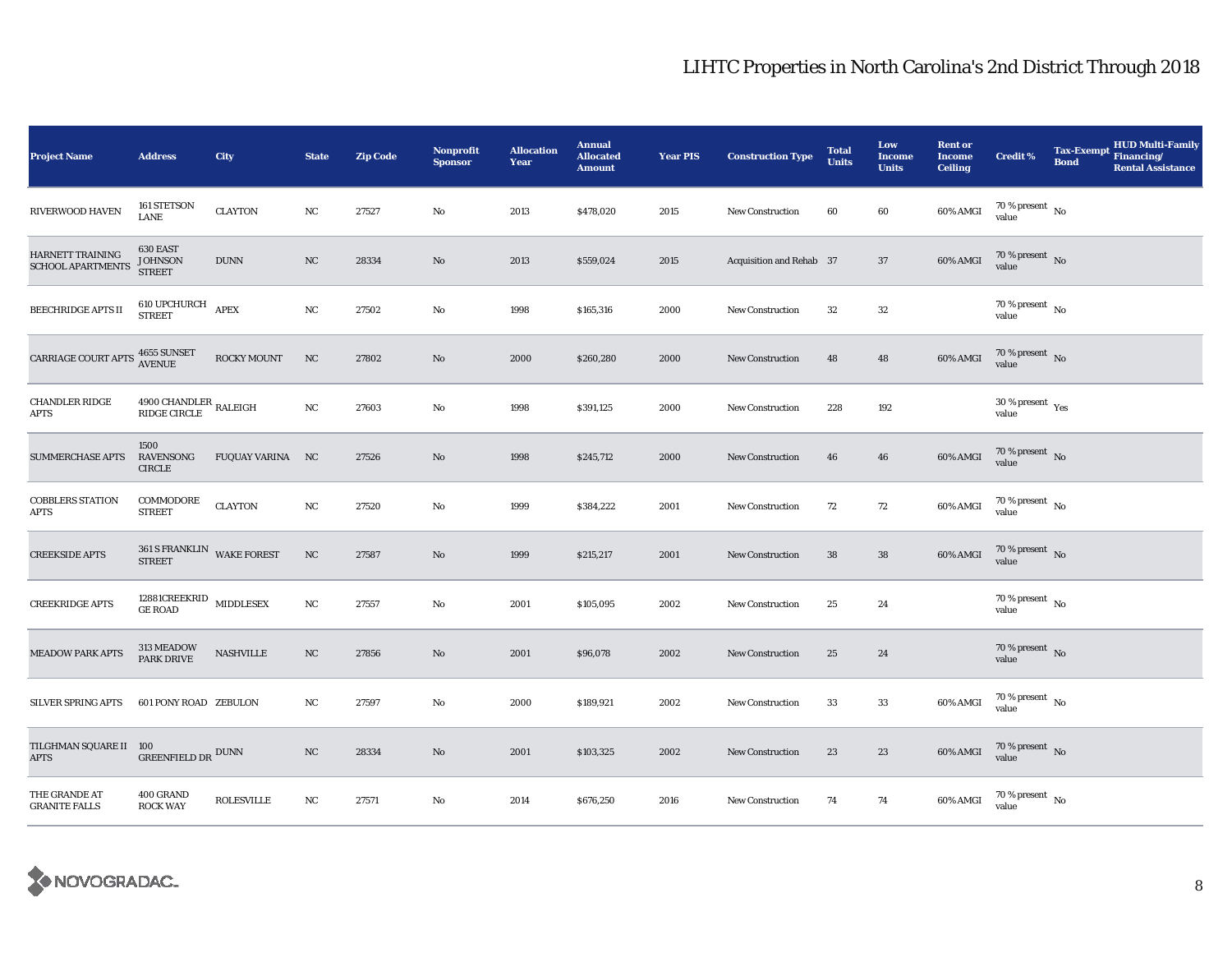| <b>Project Name</b>                    | <b>Address</b>                                      | City              | <b>State</b>     | <b>Zip Code</b> | Nonprofit<br><b>Sponsor</b> | <b>Allocation</b><br>Year | <b>Annual</b><br><b>Allocated</b><br><b>Amount</b> | <b>Year PIS</b> | <b>Construction Type</b> | <b>Total</b><br><b>Units</b> | Low<br><b>Income</b><br><b>Units</b> | <b>Rent or</b><br><b>Income</b><br><b>Ceiling</b> | <b>Credit %</b>                    | <b>Tax-Exempt</b><br><b>Bond</b> | <b>HUD Multi-Family</b><br>Financing/<br><b>Rental Assistance</b> |
|----------------------------------------|-----------------------------------------------------|-------------------|------------------|-----------------|-----------------------------|---------------------------|----------------------------------------------------|-----------------|--------------------------|------------------------------|--------------------------------------|---------------------------------------------------|------------------------------------|----------------------------------|-------------------------------------------------------------------|
| RIVERWOOD HAVEN                        | 161 STETSON<br>LANE                                 | <b>CLAYTON</b>    | NC               | 27527           | No                          | 2013                      | \$478,020                                          | 2015            | <b>New Construction</b>  | 60                           | 60                                   | 60% AMGI                                          | $70$ % present $_{\rm{No}}$        |                                  |                                                                   |
| HARNETT TRAINING<br>SCHOOL APARTMENTS  | 630 EAST<br><b>JOHNSON</b><br><b>STREET</b>         | $\rm DUNN$        | $_{\rm NC}$      | 28334           | No                          | 2013                      | \$559,024                                          | 2015            | Acquisition and Rehab 37 |                              | $37\,$                               | 60% AMGI                                          | $70\%$ present No<br>value         |                                  |                                                                   |
| BEECHRIDGE APTS II                     | $610$ UPCHURCH $$\,\, \mathrm{APEX}$$ STREET        |                   | $_{\rm NC}$      | 27502           | No                          | 1998                      | \$165,316                                          | 2000            | New Construction         | 32                           | 32                                   |                                                   | 70 % present $\hbox{~No}$<br>value |                                  |                                                                   |
| CARRIAGE COURT APTS                    | 4655 SUNSET<br>AVENUE                               | ROCKY MOUNT       | NC               | 27802           | No                          | 2000                      | \$260,280                                          | 2000            | New Construction         | 48                           | 48                                   | 60% AMGI                                          | $70\,\%$ present $\,$ No value     |                                  |                                                                   |
| <b>CHANDLER RIDGE</b><br><b>APTS</b>   | $4900$ CHANDLER $\,$ RALEIGH $\,$ RIDGE CIRCLE $\,$ |                   | NC               | 27603           | No                          | 1998                      | \$391,125                                          | 2000            | <b>New Construction</b>  | 228                          | 192                                  |                                                   | 30 % present $\rm\,Yes$<br>value   |                                  |                                                                   |
| <b>SUMMERCHASE APTS</b>                | 1500<br>RAVENSONG<br><b>CIRCLE</b>                  | FUQUAY VARINA NC  |                  | 27526           | No                          | 1998                      | \$245,712                                          | 2000            | <b>New Construction</b>  | 46                           | 46                                   | 60% AMGI                                          | $70\,\%$ present $\,$ No value     |                                  |                                                                   |
| <b>COBBLERS STATION</b><br><b>APTS</b> | COMMODORE<br><b>STREET</b>                          | <b>CLAYTON</b>    | NC               | 27520           | No                          | 1999                      | \$384,222                                          | 2001            | <b>New Construction</b>  | 72                           | 72                                   | 60% AMGI                                          | $70\,\%$ present $\,$ No value     |                                  |                                                                   |
| <b>CREEKSIDE APTS</b>                  | 361 S FRANKLIN WAKE FOREST<br><b>STREET</b>         |                   | $_{\rm NC}$      | 27587           | No                          | 1999                      | \$215,217                                          | 2001            | <b>New Construction</b>  | ${\bf 38}$                   | ${\bf 38}$                           | 60% AMGI                                          | $70\,\%$ present $\,$ No value     |                                  |                                                                   |
| <b>CREEKRIDGE APTS</b>                 | $12881 \mbox{CREERRID}$ MIDDLESEX GE ROAD           |                   | NC               | 27557           | No                          | 2001                      | \$105,095                                          | 2002            | <b>New Construction</b>  | $\bf 25$                     | 24                                   |                                                   | 70 % present $\hbox{~No}$<br>value |                                  |                                                                   |
| <b>MEADOW PARK APTS</b>                | 313 MEADOW<br><b>PARK DRIVE</b>                     | NASHVILLE         | NC               | 27856           | No                          | 2001                      | \$96,078                                           | 2002            | New Construction         | 25                           | 24                                   |                                                   | $70\,\%$ present $\,$ No value     |                                  |                                                                   |
| SILVER SPRING APTS                     | 601 PONY ROAD ZEBULON                               |                   | NC               | 27597           | No                          | 2000                      | \$189,921                                          | 2002            | <b>New Construction</b>  | 33                           | 33                                   | 60% AMGI                                          | 70 % present $\,$ No $\,$<br>value |                                  |                                                                   |
| TILGHMAN SQUARE II 100<br><b>APTS</b>  | GREENFIELD DR $^{\text{DUNN}}$                      |                   | $_{\mathrm{NC}}$ | 28334           | No                          | 2001                      | \$103,325                                          | 2002            | New Construction         | 23                           | 23                                   | 60% AMGI                                          | $70\,\%$ present $\,$ No value     |                                  |                                                                   |
| THE GRANDE AT<br><b>GRANITE FALLS</b>  | 400 GRAND<br><b>ROCK WAY</b>                        | <b>ROLESVILLE</b> | NC               | 27571           | No                          | 2014                      | \$676,250                                          | 2016            | <b>New Construction</b>  | 74                           | 74                                   | 60% AMGI                                          | $70\,\%$ present $\,$ No value     |                                  |                                                                   |

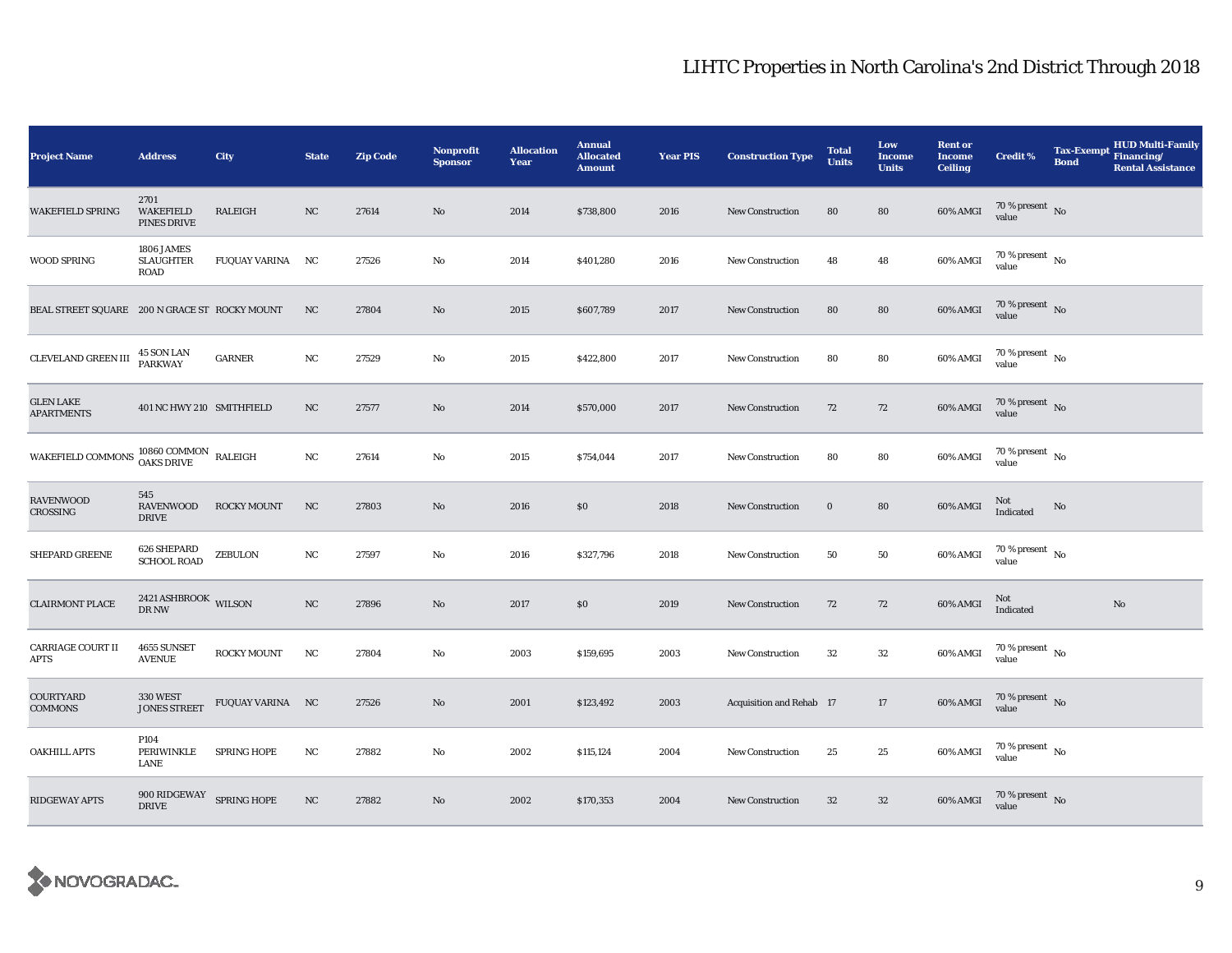| <b>Project Name</b>                           | <b>Address</b>                                 | City               | <b>State</b> | <b>Zip Code</b> | <b>Nonprofit</b><br><b>Sponsor</b> | <b>Allocation</b><br>Year | <b>Annual</b><br><b>Allocated</b><br><b>Amount</b> | <b>Year PIS</b> | <b>Construction Type</b> | <b>Total</b><br><b>Units</b> | Low<br><b>Income</b><br><b>Units</b> | <b>Rent or</b><br><b>Income</b><br><b>Ceiling</b> | <b>Credit %</b>                        | <b>Tax-Exempt</b><br><b>Bond</b> | HUD Multi-Family<br>Financing/<br><b>Rental Assistance</b> |
|-----------------------------------------------|------------------------------------------------|--------------------|--------------|-----------------|------------------------------------|---------------------------|----------------------------------------------------|-----------------|--------------------------|------------------------------|--------------------------------------|---------------------------------------------------|----------------------------------------|----------------------------------|------------------------------------------------------------|
| WAKEFIELD SPRING                              | 2701<br><b>WAKEFIELD</b><br><b>PINES DRIVE</b> | RALEIGH            | NC           | 27614           | No                                 | 2014                      | \$738,800                                          | 2016            | <b>New Construction</b>  | 80                           | 80                                   | 60% AMGI                                          | 70 % present $\,$ No $\,$<br>value     |                                  |                                                            |
| WOOD SPRING                                   | 1806 JAMES<br><b>SLAUGHTER</b><br><b>ROAD</b>  | FUQUAY VARINA NC   |              | 27526           | $\mathbf{No}$                      | 2014                      | \$401,280                                          | 2016            | <b>New Construction</b>  | 48                           | 48                                   | 60% AMGI                                          | $70$ % present $\,$ No $\,$<br>value   |                                  |                                                            |
| BEAL STREET SQUARE 200 N GRACE ST ROCKY MOUNT |                                                |                    | NC           | 27804           | No                                 | 2015                      | \$607,789                                          | 2017            | <b>New Construction</b>  | 80                           | 80                                   | 60% AMGI                                          | $70$ % present $$\rm \, No$$ value     |                                  |                                                            |
| CLEVELAND GREEN III                           | 45 SON LAN<br>PARKWAY                          | <b>GARNER</b>      | $_{\rm NC}$  | 27529           | $\mathbf{No}$                      | 2015                      | \$422,800                                          | 2017            | <b>New Construction</b>  | 80                           | ${\bf 80}$                           | 60% AMGI                                          | 70 % present $\hbox{~No}$<br>value     |                                  |                                                            |
| <b>GLEN LAKE</b><br><b>APARTMENTS</b>         | 401 NC HWY 210 SMITHFIELD                      |                    | NC           | 27577           | No                                 | 2014                      | \$570,000                                          | 2017            | <b>New Construction</b>  | 72                           | 72                                   | 60% AMGI                                          | $70$ % present $$\rm{No}$$ value       |                                  |                                                            |
| WAKEFIELD COMMONS                             | $10860$ COMMON $\;$ RALEIGH OAKS DRIVE         |                    | NC           | 27614           | $\mathbf{No}$                      | 2015                      | \$754,044                                          | 2017            | <b>New Construction</b>  | 80                           | 80                                   | 60% AMGI                                          | $70$ % present $\,$ No $\,$<br>value   |                                  |                                                            |
| RAVENWOOD<br>CROSSING                         | 545<br><b>RAVENWOOD</b><br><b>DRIVE</b>        | <b>ROCKY MOUNT</b> | NC           | 27803           | No                                 | 2016                      | \$0                                                | 2018            | <b>New Construction</b>  | $\bf{0}$                     | 80                                   | 60% AMGI                                          | Not<br>Indicated                       | No                               |                                                            |
| SHEPARD GREENE                                | 626 SHEPARD<br><b>SCHOOL ROAD</b>              | ZEBULON            | NC           | 27597           | No                                 | 2016                      | \$327,796                                          | 2018            | <b>New Construction</b>  | 50                           | 50                                   | 60% AMGI                                          | 70 % present $\,$ No $\,$<br>value     |                                  |                                                            |
| <b>CLAIRMONT PLACE</b>                        | $2421\,\mathrm{ASHBROOK}$ WILSON DR NW         |                    | $_{\rm NC}$  | 27896           | No                                 | 2017                      | \$0                                                | 2019            | <b>New Construction</b>  | 72                           | 72                                   | 60% AMGI                                          | Not<br>Indicated                       |                                  | No                                                         |
| <b>CARRIAGE COURT II</b><br><b>APTS</b>       | 4655 SUNSET<br><b>AVENUE</b>                   | <b>ROCKY MOUNT</b> | NC           | 27804           | No                                 | 2003                      | \$159,695                                          | 2003            | <b>New Construction</b>  | 32                           | ${\bf 32}$                           | 60% AMGI                                          | $70$ % present $_{\, \rm No}$<br>value |                                  |                                                            |
| COURTYARD<br><b>COMMONS</b>                   | <b>330 WEST</b><br><b>JONES STREET</b>         | FUQUAY VARINA NC   |              | 27526           | No                                 | 2001                      | \$123,492                                          | 2003            | Acquisition and Rehab 17 |                              | 17                                   | 60% AMGI                                          | 70 % present No<br>value               |                                  |                                                            |
| OAKHILL APTS                                  | P104<br>PERIWINKLE<br>LANE                     | SPRING HOPE        | NC           | 27882           | No                                 | 2002                      | \$115,124                                          | 2004            | <b>New Construction</b>  | 25                           | 25                                   | 60% AMGI                                          | $70$ % present $\,$ No $\,$<br>value   |                                  |                                                            |
| RIDGEWAY APTS                                 | 900 RIDGEWAY SPRING HOPE<br><b>DRIVE</b>       |                    | $_{\rm NC}$  | 27882           | No                                 | 2002                      | \$170,353                                          | 2004            | New Construction         | $32\,$                       | $32\,$                               | 60% AMGI                                          | $70\,\%$ present $\,$ No value         |                                  |                                                            |

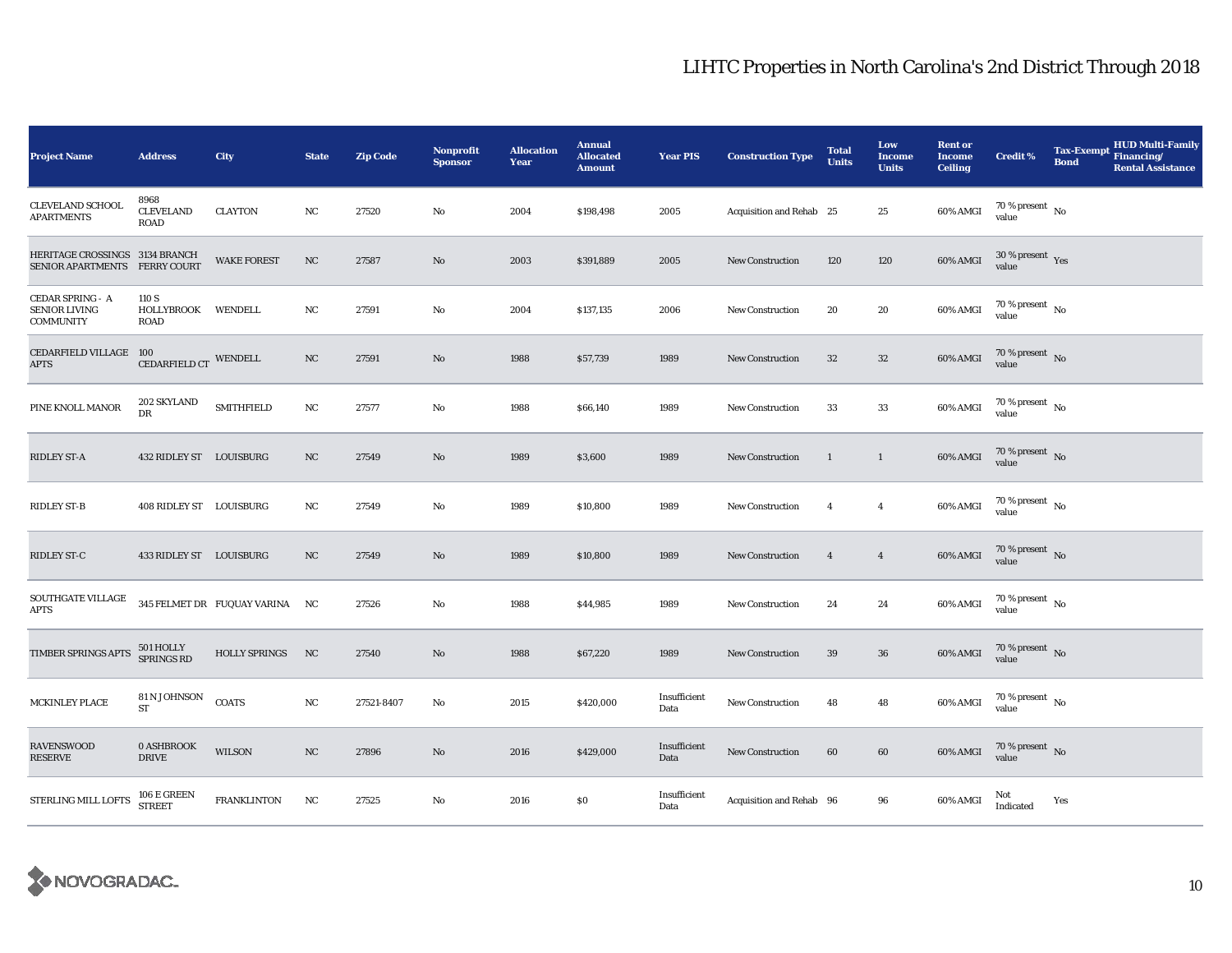| <b>Project Name</b>                                                 | <b>Address</b>                             | City                           | <b>State</b> | <b>Zip Code</b> | <b>Nonprofit</b><br><b>Sponsor</b> | <b>Allocation</b><br>Year | <b>Annual</b><br><b>Allocated</b><br><b>Amount</b> | <b>Year PIS</b>      | <b>Construction Type</b> | <b>Total</b><br>Units | Low<br><b>Income</b><br><b>Units</b> | <b>Rent or</b><br><b>Income</b><br><b>Ceiling</b> | <b>Credit %</b>                        | <b>Tax-Exempt</b><br><b>Bond</b> | <b>HUD Multi-Family</b><br>Financing/<br><b>Rental Assistance</b> |
|---------------------------------------------------------------------|--------------------------------------------|--------------------------------|--------------|-----------------|------------------------------------|---------------------------|----------------------------------------------------|----------------------|--------------------------|-----------------------|--------------------------------------|---------------------------------------------------|----------------------------------------|----------------------------------|-------------------------------------------------------------------|
| <b>CLEVELAND SCHOOL</b><br><b>APARTMENTS</b>                        | 8968<br><b>CLEVELAND</b><br><b>ROAD</b>    | <b>CLAYTON</b>                 | NC           | 27520           | No                                 | 2004                      | \$198,498                                          | 2005                 | Acquisition and Rehab 25 |                       | 25                                   | 60% AMGI                                          | 70 % present $\hbox{~No}$<br>value     |                                  |                                                                   |
| HERITAGE CROSSINGS 3134 BRANCH<br>SENIOR APARTMENTS FERRY COURT     |                                            | <b>WAKE FOREST</b>             | NC           | 27587           | $\mathbf{N}\mathbf{o}$             | 2003                      | \$391,889                                          | 2005                 | <b>New Construction</b>  | 120                   | 120                                  | 60% AMGI                                          | 30 % present Yes<br>value              |                                  |                                                                   |
| <b>CEDAR SPRING - A</b><br><b>SENIOR LIVING</b><br><b>COMMUNITY</b> | 110 S<br>HOLLYBROOK WENDELL<br><b>ROAD</b> |                                | NC           | 27591           | No                                 | 2004                      | \$137,135                                          | 2006                 | <b>New Construction</b>  | 20                    | 20                                   | 60% AMGI                                          | $70$ % present $$\rm \, No$$ value     |                                  |                                                                   |
| CEDARFIELD VILLAGE 100<br><b>APTS</b>                               | CEDARFIELD CT WENDELL                      |                                | NC           | 27591           | No                                 | 1988                      | \$57,739                                           | 1989                 | <b>New Construction</b>  | 32                    | 32                                   | 60% AMGI                                          | $70\,\%$ present $\,$ No value         |                                  |                                                                   |
| PINE KNOLL MANOR                                                    | 202 SKYLAND<br>DR                          | <b>SMITHFIELD</b>              | NC           | 27577           | No                                 | 1988                      | \$66,140                                           | 1989                 | <b>New Construction</b>  | 33                    | 33                                   | $60\%$ AMGI                                       | $70\,\%$ present $\,$ No $\,$<br>value |                                  |                                                                   |
| RIDLEY ST-A                                                         | 432 RIDLEY ST LOUISBURG                    |                                | NC           | 27549           | $\mathbf{No}$                      | 1989                      | \$3,600                                            | 1989                 | New Construction         | $\mathbf{1}$          | $\mathbf{1}$                         | 60% AMGI                                          | $70\,\%$ present $\,$ No value         |                                  |                                                                   |
| <b>RIDLEY ST-B</b>                                                  | 408 RIDLEY ST LOUISBURG                    |                                | NC           | 27549           | No                                 | 1989                      | \$10,800                                           | 1989                 | <b>New Construction</b>  | $\overline{4}$        | $\overline{\mathbf{4}}$              | 60% AMGI                                          | $70$ % present $\,$ No $\,$<br>value   |                                  |                                                                   |
| RIDLEY ST-C                                                         | 433 RIDLEY ST LOUISBURG                    |                                | NC           | 27549           | $\mathbf{N}\mathbf{o}$             | 1989                      | \$10,800                                           | 1989                 | <b>New Construction</b>  | $\overline{4}$        | $\overline{4}$                       | 60% AMGI                                          | $70\,\%$ present $\,$ No value         |                                  |                                                                   |
| SOUTHGATE VILLAGE<br><b>APTS</b>                                    |                                            | 345 FELMET DR FUQUAY VARINA NC |              | 27526           | No                                 | 1988                      | \$44,985                                           | 1989                 | <b>New Construction</b>  | 24                    | 24                                   | 60% AMGI                                          | $70$ % present $\,$ No $\,$<br>value   |                                  |                                                                   |
| TIMBER SPRINGS APTS                                                 | 501 HOLLY<br>SPRINGS RD                    | <b>HOLLY SPRINGS</b>           | NC           | 27540           | $\mathbf{N}\mathbf{o}$             | 1988                      | \$67,220                                           | 1989                 | New Construction         | 39                    | 36                                   | 60% AMGI                                          | $70\,\%$ present $\,$ No value         |                                  |                                                                   |
| MCKINLEY PLACE                                                      | 81 N JOHNSON<br><b>ST</b>                  | <b>COATS</b>                   | NC           | 27521-8407      | No                                 | 2015                      | \$420,000                                          | Insufficient<br>Data | <b>New Construction</b>  | 48                    | 48                                   | 60% AMGI                                          | 70 % present $\hbox{~No}$<br>value     |                                  |                                                                   |
| <b>RAVENSWOOD</b><br><b>RESERVE</b>                                 | <b>0 ASHBROOK</b><br><b>DRIVE</b>          | <b>WILSON</b>                  | NC           | 27896           | No                                 | 2016                      | \$429,000                                          | Insufficient<br>Data | <b>New Construction</b>  | 60                    | 60                                   | 60% AMGI                                          | $70\,\%$ present $\,$ No value         |                                  |                                                                   |
| STERLING MILL LOFTS                                                 | 106 E GREEN<br>STREET                      | <b>FRANKLINTON</b>             | NC           | 27525           | No                                 | 2016                      | \$0\$                                              | Insufficient<br>Data | Acquisition and Rehab 96 |                       | 96                                   | 60% AMGI                                          | Not<br>Indicated                       | Yes                              |                                                                   |